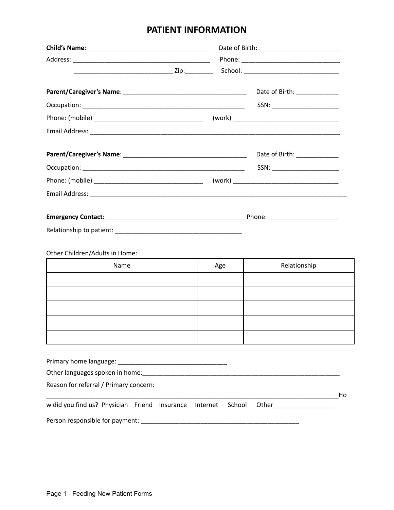## **PATIENT INFORMATION**

|                                               |                    | Date of Birth: ____________    |    |
|-----------------------------------------------|--------------------|--------------------------------|----|
|                                               |                    | SSN: _________________________ |    |
|                                               |                    |                                |    |
|                                               |                    |                                |    |
|                                               |                    | Date of Birth: ____________    |    |
|                                               |                    | SSN: _________________________ |    |
|                                               |                    |                                |    |
|                                               |                    |                                |    |
|                                               |                    |                                |    |
|                                               |                    |                                |    |
| Other Children/Adults in Home:                |                    |                                |    |
| Name                                          | Age                | Relationship                   |    |
|                                               |                    |                                |    |
|                                               |                    |                                |    |
|                                               |                    |                                |    |
|                                               |                    |                                |    |
|                                               |                    |                                |    |
|                                               |                    |                                |    |
|                                               |                    |                                |    |
|                                               |                    |                                |    |
|                                               |                    |                                |    |
| Reason for referral / Primary concern:        |                    |                                | Ho |
| w did you find us? Physician Friend Insurance | School<br>Internet | Other _______________          |    |
|                                               |                    |                                |    |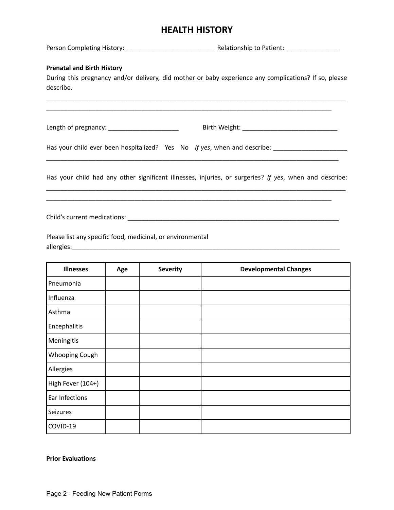## **HEALTH HISTORY**

Person Completing History: \_\_\_\_\_\_\_\_\_\_\_\_\_\_\_\_\_\_\_\_\_\_\_\_\_ Relationship to Patient: \_\_\_\_\_\_\_\_\_\_\_\_\_\_\_

## **Prenatal and Birth History**

During this pregnancy and/or delivery, did mother or baby experience any complications? If so, please describe.

\_\_\_\_\_\_\_\_\_\_\_\_\_\_\_\_\_\_\_\_\_\_\_\_\_\_\_\_\_\_\_\_\_\_\_\_\_\_\_\_\_\_\_\_\_\_\_\_\_\_\_\_\_\_\_\_\_\_\_\_\_\_\_\_\_\_\_\_\_\_\_\_\_\_\_\_\_\_\_\_\_\_\_\_\_ \_\_\_\_\_\_\_\_\_\_\_\_\_\_\_\_\_\_\_\_\_\_\_\_\_\_\_\_\_\_\_\_\_\_\_\_\_\_\_\_\_\_\_\_\_\_\_\_\_\_\_\_\_\_\_\_\_\_\_\_\_\_\_\_\_\_\_\_\_\_\_\_\_\_\_\_\_\_\_\_\_

Length of pregnancy: \_\_\_\_\_\_\_\_\_\_\_\_\_\_\_\_\_\_\_\_ Birth Weight: \_\_\_\_\_\_\_\_\_\_\_\_\_\_\_\_\_\_\_\_\_\_\_\_\_\_\_

Has your child ever been hospitalized? Yes No *If yes*, when and describe: \_\_\_\_\_\_\_\_\_\_\_\_\_\_\_\_\_\_\_\_\_

Has your child had any other significant illnesses, injuries, or surgeries? *If yes*, when and describe: \_\_\_\_\_\_\_\_\_\_\_\_\_\_\_\_\_\_\_\_\_\_\_\_\_\_\_\_\_\_\_\_\_\_\_\_\_\_\_\_\_\_\_\_\_\_\_\_\_\_\_\_\_\_\_\_\_\_\_\_\_\_\_\_\_\_\_\_\_\_\_\_\_\_\_\_\_\_\_\_\_\_\_\_\_

\_\_\_\_\_\_\_\_\_\_\_\_\_\_\_\_\_\_\_\_\_\_\_\_\_\_\_\_\_\_\_\_\_\_\_\_\_\_\_\_\_\_\_\_\_\_\_\_\_\_\_\_\_\_\_\_\_\_\_\_\_\_\_\_\_\_\_\_\_\_\_\_\_\_\_\_\_\_\_\_\_\_\_

\_\_\_\_\_\_\_\_\_\_\_\_\_\_\_\_\_\_\_\_\_\_\_\_\_\_\_\_\_\_\_\_\_\_\_\_\_\_\_\_\_\_\_\_\_\_\_\_\_\_\_\_\_\_\_\_\_\_\_\_\_\_\_\_\_\_\_\_\_\_\_\_\_\_\_\_\_\_\_\_\_

Child's current medications: \_\_\_\_\_\_\_\_\_\_\_\_\_\_\_\_\_\_\_\_\_\_\_\_\_\_\_\_\_\_\_\_\_\_\_\_\_\_\_\_\_\_\_\_\_\_\_\_\_\_\_\_\_\_\_\_\_\_\_\_

Please list any specific food, medicinal, or environmental allergies:\_\_\_\_\_\_\_\_\_\_\_\_\_\_\_\_\_\_\_\_\_\_\_\_\_\_\_\_\_\_\_\_\_\_\_\_\_\_\_\_\_\_\_\_\_\_\_\_\_\_\_\_\_\_\_\_\_\_\_\_\_\_\_\_\_\_\_\_\_\_\_\_\_\_\_\_

| <b>Illnesses</b>  | Age | <b>Severity</b> | <b>Developmental Changes</b> |
|-------------------|-----|-----------------|------------------------------|
| Pneumonia         |     |                 |                              |
| Influenza         |     |                 |                              |
| Asthma            |     |                 |                              |
| Encephalitis      |     |                 |                              |
| Meningitis        |     |                 |                              |
| Whooping Cough    |     |                 |                              |
| Allergies         |     |                 |                              |
| High Fever (104+) |     |                 |                              |
| Ear Infections    |     |                 |                              |
| Seizures          |     |                 |                              |
| COVID-19          |     |                 |                              |

**Prior Evaluations**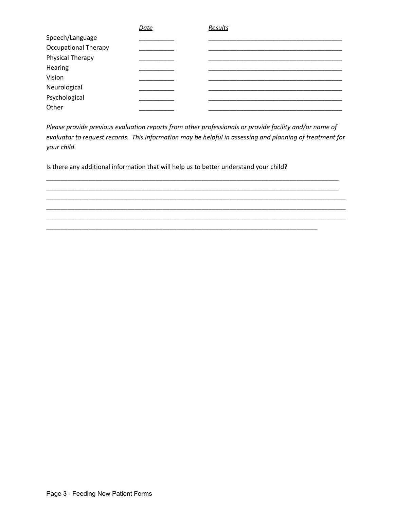|                             | <b>Date</b> | Results |  |
|-----------------------------|-------------|---------|--|
| Speech/Language             |             |         |  |
| <b>Occupational Therapy</b> |             |         |  |
| Physical Therapy            |             |         |  |
| Hearing                     |             |         |  |
| Vision                      |             |         |  |
| Neurological                |             |         |  |
| Psychological               |             |         |  |
| Other                       |             |         |  |

*Please provide previous evaluation reports from other professionals or provide facility and/or name of evaluator to request records. This information may be helpful in assessing and planning of treatment for your child.*

\_\_\_\_\_\_\_\_\_\_\_\_\_\_\_\_\_\_\_\_\_\_\_\_\_\_\_\_\_\_\_\_\_\_\_\_\_\_\_\_\_\_\_\_\_\_\_\_\_\_\_\_\_\_\_\_\_\_\_\_\_\_\_\_\_\_\_\_\_\_\_\_\_\_\_\_\_\_\_\_\_\_\_ \_\_\_\_\_\_\_\_\_\_\_\_\_\_\_\_\_\_\_\_\_\_\_\_\_\_\_\_\_\_\_\_\_\_\_\_\_\_\_\_\_\_\_\_\_\_\_\_\_\_\_\_\_\_\_\_\_\_\_\_\_\_\_\_\_\_\_\_\_\_\_\_\_\_\_\_\_\_\_\_\_\_\_ \_\_\_\_\_\_\_\_\_\_\_\_\_\_\_\_\_\_\_\_\_\_\_\_\_\_\_\_\_\_\_\_\_\_\_\_\_\_\_\_\_\_\_\_\_\_\_\_\_\_\_\_\_\_\_\_\_\_\_\_\_\_\_\_\_\_\_\_\_\_\_\_\_\_\_\_\_\_\_\_\_\_\_\_\_ \_\_\_\_\_\_\_\_\_\_\_\_\_\_\_\_\_\_\_\_\_\_\_\_\_\_\_\_\_\_\_\_\_\_\_\_\_\_\_\_\_\_\_\_\_\_\_\_\_\_\_\_\_\_\_\_\_\_\_\_\_\_\_\_\_\_\_\_\_\_\_\_\_\_\_\_\_\_\_\_\_\_\_\_\_ \_\_\_\_\_\_\_\_\_\_\_\_\_\_\_\_\_\_\_\_\_\_\_\_\_\_\_\_\_\_\_\_\_\_\_\_\_\_\_\_\_\_\_\_\_\_\_\_\_\_\_\_\_\_\_\_\_\_\_\_\_\_\_\_\_\_\_\_\_\_\_\_\_\_\_\_\_\_\_\_\_\_\_\_\_

\_\_\_\_\_\_\_\_\_\_\_\_\_\_\_\_\_\_\_\_\_\_\_\_\_\_\_\_\_\_\_\_\_\_\_\_\_\_\_\_\_\_\_\_\_\_\_\_\_\_\_\_\_\_\_\_\_\_\_\_\_\_\_\_\_\_\_\_\_\_\_\_\_\_\_\_\_

Is there any additional information that will help us to better understand your child?